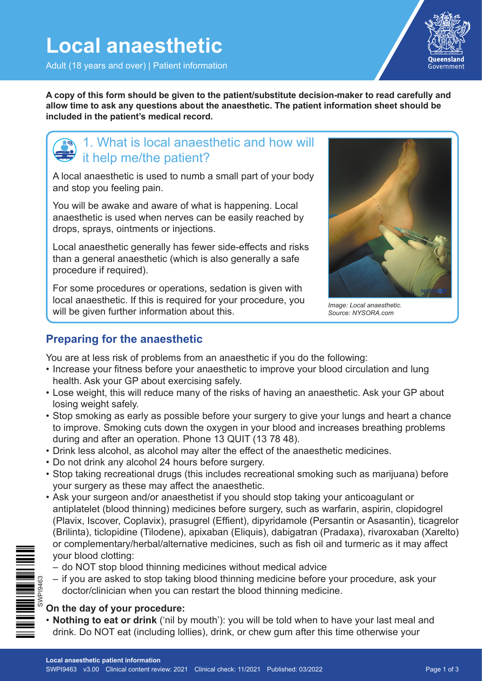Adult (18 years and over) | Patient information



**A copy of this form should be given to the patient/substitute decision-maker to read carefully and allow time to ask any questions about the anaesthetic. The patient information sheet should be included in the patient's medical record.**

## 1. What is local anaesthetic and how will it help me/the patient?

A local anaesthetic is used to numb a small part of your body and stop you feeling pain.

You will be awake and aware of what is happening. Local anaesthetic is used when nerves can be easily reached by drops, sprays, ointments or injections.

Local anaesthetic generally has fewer side-effects and risks than a general anaesthetic (which is also generally a safe procedure if required).

For some procedures or operations, sedation is given with local anaesthetic. If this is required for your procedure, you will be given further information about this.



*Image: Local anaesthetic. Source: NYSORA.com*

## **Preparing for the anaesthetic**

You are at less risk of problems from an anaesthetic if you do the following:

- Increase your fitness before your anaesthetic to improve your blood circulation and lung health. Ask your GP about exercising safely.
- Lose weight, this will reduce many of the risks of having an anaesthetic. Ask your GP about losing weight safely.
- Stop smoking as early as possible before your surgery to give your lungs and heart a chance to improve. Smoking cuts down the oxygen in your blood and increases breathing problems during and after an operation. Phone 13 QUIT (13 78 48).
- Drink less alcohol, as alcohol may alter the effect of the anaesthetic medicines.
- Do not drink any alcohol 24 hours before surgery.
- Stop taking recreational drugs (this includes recreational smoking such as marijuana) before your surgery as these may affect the anaesthetic.
- Ask your surgeon and/or anaesthetist if you should stop taking your anticoagulant or antiplatelet (blood thinning) medicines before surgery, such as warfarin, aspirin, clopidogrel (Plavix, Iscover, Coplavix), prasugrel (Effient), dipyridamole (Persantin or Asasantin), ticagrelor (Brilinta), ticlopidine (Tilodene), apixaban (Eliquis), dabigatran (Pradaxa), rivaroxaban (Xarelto) or complementary/herbal/alternative medicines, such as fish oil and turmeric as it may affect your blood clotting:
- do NOT stop blood thinning medicines without medical advice
- if you are asked to stop taking blood thinning medicine before your procedure, ask your doctor/clinician when you can restart the blood thinning medicine.

## **On the day of your procedure:**

• **Nothing to eat or drink** ('nil by mouth'): you will be told when to have your last meal and drink. Do NOT eat (including lollies), drink, or chew gum after this time otherwise your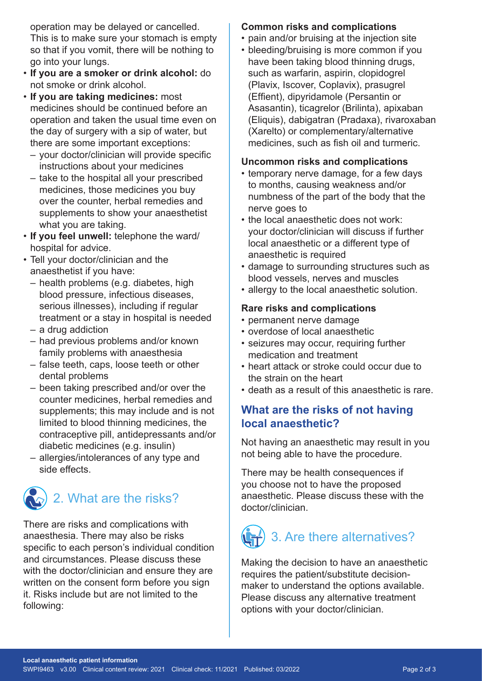operation may be delayed or cancelled. This is to make sure your stomach is empty so that if you vomit, there will be nothing to go into your lungs.

- **If you are a smoker or drink alcohol:** do not smoke or drink alcohol.
- **If you are taking medicines:** most medicines should be continued before an operation and taken the usual time even on the day of surgery with a sip of water, but there are some important exceptions:
	- your doctor/clinician will provide specific instructions about your medicines
	- take to the hospital all your prescribed medicines, those medicines you buy over the counter, herbal remedies and supplements to show your anaesthetist what you are taking.
- **If you feel unwell:** telephone the ward/ hospital for advice.
- Tell your doctor/clinician and the anaesthetist if you have:
	- health problems (e.g. diabetes, high blood pressure, infectious diseases, serious illnesses), including if regular treatment or a stay in hospital is needed
	- a drug addiction
	- had previous problems and/or known family problems with anaesthesia
	- false teeth, caps, loose teeth or other dental problems
	- been taking prescribed and/or over the counter medicines, herbal remedies and supplements; this may include and is not limited to blood thinning medicines, the contraceptive pill, antidepressants and/or diabetic medicines (e.g. insulin)
	- allergies/intolerances of any type and side effects.



There are risks and complications with anaesthesia. There may also be risks specific to each person's individual condition and circumstances. Please discuss these with the doctor/clinician and ensure they are written on the consent form before you sign it. Risks include but are not limited to the following:

## **Common risks and complications**

- pain and/or bruising at the injection site
- bleeding/bruising is more common if you
- have been taking blood thinning drugs, such as warfarin, aspirin, clopidogrel (Plavix, Iscover, Coplavix), prasugrel (Effient), dipyridamole (Persantin or Asasantin), ticagrelor (Brilinta), apixaban (Eliquis), dabigatran (Pradaxa), rivaroxaban (Xarelto) or complementary/alternative medicines, such as fish oil and turmeric.

#### **Uncommon risks and complications**

- temporary nerve damage, for a few days to months, causing weakness and/or numbness of the part of the body that the nerve goes to
- the local anaesthetic does not work: your doctor/clinician will discuss if further local anaesthetic or a different type of anaesthetic is required
- damage to surrounding structures such as blood vessels, nerves and muscles
- allergy to the local anaesthetic solution.

### **Rare risks and complications**

- permanent nerve damage
- overdose of local anaesthetic
- seizures may occur, requiring further medication and treatment
- heart attack or stroke could occur due to the strain on the heart
- death as a result of this anaesthetic is rare.

## **What are the risks of not having local anaesthetic?**

Not having an anaesthetic may result in you not being able to have the procedure.

There may be health consequences if you choose not to have the proposed anaesthetic. Please discuss these with the doctor/clinician.

# 3. Are there alternatives?

Making the decision to have an anaesthetic requires the patient/substitute decisionmaker to understand the options available. Please discuss any alternative treatment options with your doctor/clinician.